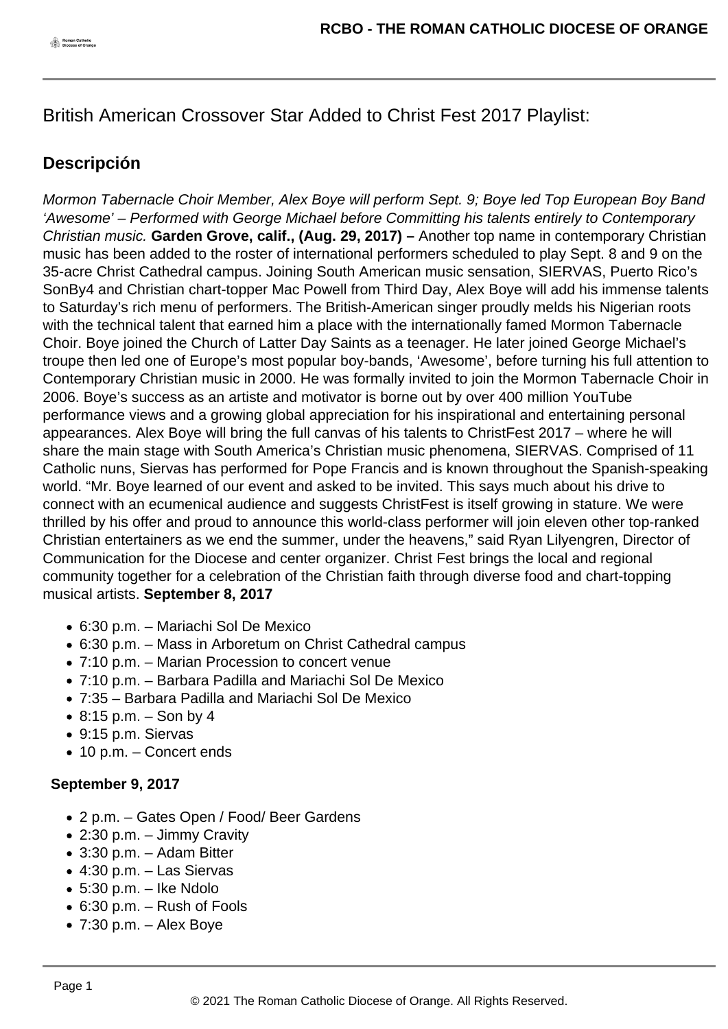British American Crossover Star Added to Christ Fest 2017 Playlist:

## **Descripción**

Mormon Tabernacle Choir Member, Alex Boye will perform Sept. 9; Boye led Top European Boy Band 'Awesome' – Performed with George Michael before Committing his talents entirely to Contemporary Christian music. **Garden Grove, calif., (Aug. 29, 2017) –** Another top name in contemporary Christian music has been added to the roster of international performers scheduled to play Sept. 8 and 9 on the 35-acre Christ Cathedral campus. Joining South American music sensation, SIERVAS, Puerto Rico's SonBy4 and Christian chart-topper Mac Powell from Third Day, Alex Boye will add his immense talents to Saturday's rich menu of performers. The British-American singer proudly melds his Nigerian roots with the technical talent that earned him a place with the internationally famed Mormon Tabernacle Choir. Boye joined the Church of Latter Day Saints as a teenager. He later joined George Michael's troupe then led one of Europe's most popular boy-bands, 'Awesome', before turning his full attention to Contemporary Christian music in 2000. He was formally invited to join the Mormon Tabernacle Choir in 2006. Boye's success as an artiste and motivator is borne out by over 400 million YouTube performance views and a growing global appreciation for his inspirational and entertaining personal appearances. Alex Boye will bring the full canvas of his talents to ChristFest 2017 – where he will share the main stage with South America's Christian music phenomena, SIERVAS. Comprised of 11 Catholic nuns, Siervas has performed for Pope Francis and is known throughout the Spanish-speaking world. "Mr. Boye learned of our event and asked to be invited. This says much about his drive to connect with an ecumenical audience and suggests ChristFest is itself growing in stature. We were thrilled by his offer and proud to announce this world-class performer will join eleven other top-ranked Christian entertainers as we end the summer, under the heavens," said Ryan Lilyengren, Director of Communication for the Diocese and center organizer. Christ Fest brings the local and regional community together for a celebration of the Christian faith through diverse food and chart-topping musical artists. **September 8, 2017**

- 6:30 p.m. Mariachi Sol De Mexico
- 6:30 p.m. Mass in Arboretum on Christ Cathedral campus
- 7:10 p.m. Marian Procession to concert venue
- 7:10 p.m. Barbara Padilla and Mariachi Sol De Mexico
- 7:35 Barbara Padilla and Mariachi Sol De Mexico
- $\bullet$  8:15 p.m. Son by 4
- 9:15 p.m. Siervas
- 10 p.m. Concert ends

## **September 9, 2017**

- 2 p.m. Gates Open / Food/ Beer Gardens
- 2:30 p.m. Jimmy Cravity
- 3:30 p.m. Adam Bitter
- 4:30 p.m. Las Siervas
- $\bullet$  5:30 p.m. Ike Ndolo
- 6:30 p.m. Rush of Fools
- $\bullet$  7:30 p.m. Alex Boye